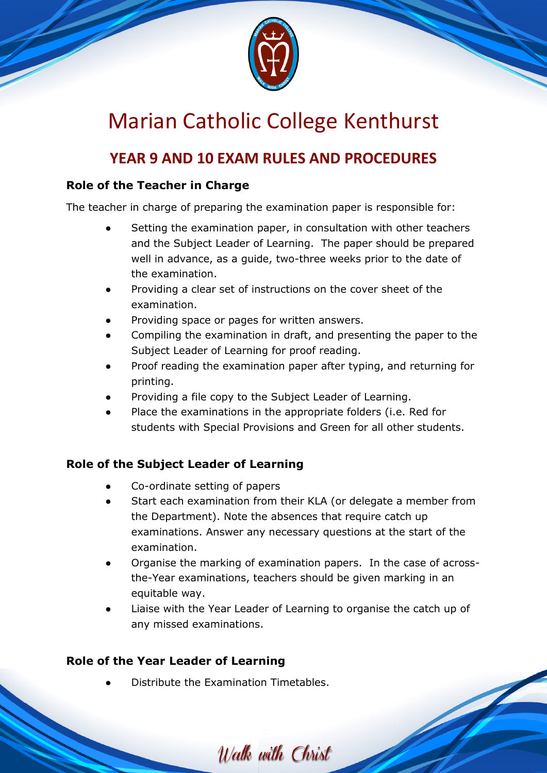

# Marian Catholic College Kenthurst

# **YEAR 9 AND 10 EXAM RULES AND PROCEDURES**

### **Role of the Teacher in Charge**

The teacher in charge of preparing the examination paper is responsible for:

- Setting the examination paper, in consultation with other teachers and the Subject Leader of Learning. The paper should be prepared well in advance, as a guide, two-three weeks prior to the date of the examination.
- Providing a clear set of instructions on the cover sheet of the examination.
- Providing space or pages for written answers.
- Compiling the examination in draft, and presenting the paper to the Subject Leader of Learning for proof reading.
- Proof reading the examination paper after typing, and returning for printing.
- Providing a file copy to the Subject Leader of Learning.
- Place the examinations in the appropriate folders (i.e. Red for students with Special Provisions and Green for all other students.

# **Role of the Subject Leader of Learning**

- Co-ordinate setting of papers
- Start each examination from their KLA (or delegate a member from the Department). Note the absences that require catch up examinations. Answer any necessary questions at the start of the examination.
- Organise the marking of examination papers. In the case of acrossthe-Year examinations, teachers should be given marking in an equitable way.
- Liaise with the Year Leader of Learning to organise the catch up of any missed examinations.

# **Role of the Year Leader of Learning**

Distribute the Examination Timetables.

Walk with Christ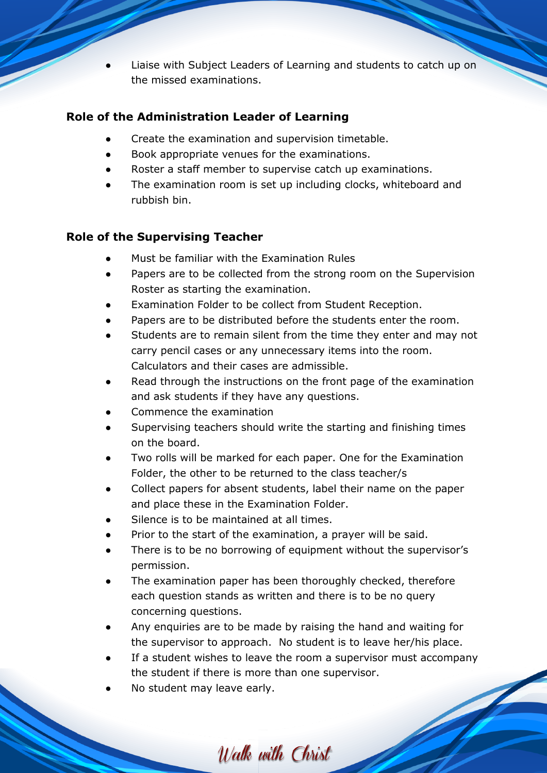Liaise with Subject Leaders of Learning and students to catch up on the missed examinations.

### **Role of the Administration Leader of Learning**

- Create the examination and supervision timetable.
- Book appropriate venues for the examinations.
- Roster a staff member to supervise catch up examinations.
- The examination room is set up including clocks, whiteboard and rubbish bin.

### **Role of the Supervising Teacher**

- Must be familiar with the Examination Rules
- Papers are to be collected from the strong room on the Supervision Roster as starting the examination.
- Examination Folder to be collect from Student Reception.
- Papers are to be distributed before the students enter the room.
- Students are to remain silent from the time they enter and may not carry pencil cases or any unnecessary items into the room. Calculators and their cases are admissible.
- Read through the instructions on the front page of the examination and ask students if they have any questions.
- Commence the examination
- Supervising teachers should write the starting and finishing times on the board.
- Two rolls will be marked for each paper. One for the Examination Folder, the other to be returned to the class teacher/s
- Collect papers for absent students, label their name on the paper and place these in the Examination Folder.
- Silence is to be maintained at all times.
- Prior to the start of the examination, a prayer will be said.
- There is to be no borrowing of equipment without the supervisor's permission.
- The examination paper has been thoroughly checked, therefore each question stands as written and there is to be no query concerning questions.
- Any enquiries are to be made by raising the hand and waiting for the supervisor to approach. No student is to leave her/his place.
- If a student wishes to leave the room a supervisor must accompany the student if there is more than one supervisor.

Walk with Christ

No student may leave early.